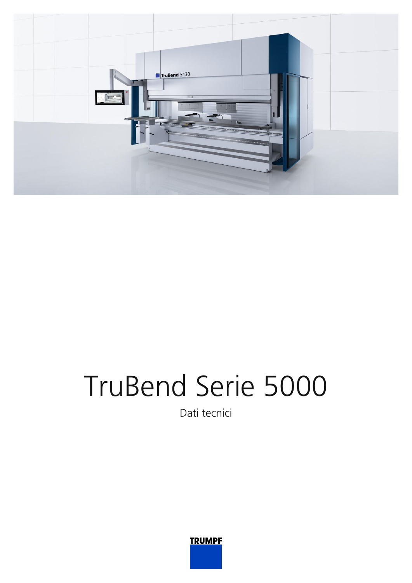

## TruBend Serie 5000

Dati tecnici

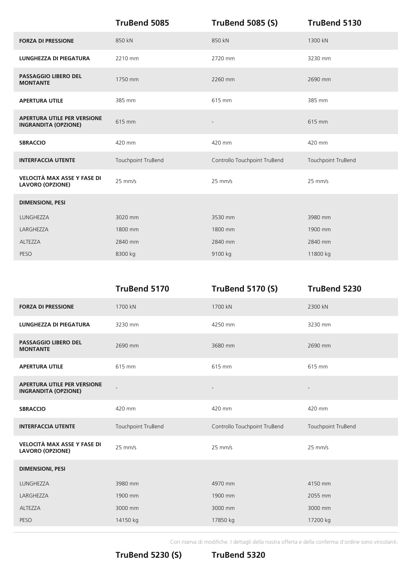|                                                                   | TruBend 5085       | <b>TruBend 5085 (S)</b>      | <b>TruBend 5130</b> |
|-------------------------------------------------------------------|--------------------|------------------------------|---------------------|
| <b>FORZA DI PRESSIONE</b>                                         | 850 kN             | 850 kN                       | 1300 kN             |
| <b>LUNGHEZZA DI PIEGATURA</b>                                     | 2210 mm            | 2720 mm                      | 3230 mm             |
| <b>PASSAGGIO LIBERO DEL</b><br><b>MONTANTE</b>                    | 1750 mm            | 2260 mm                      | 2690 mm             |
| <b>APERTURA UTILE</b>                                             | 385 mm             | 615 mm                       | 385 mm              |
| <b>APERTURA UTILE PER VERSIONE</b><br><b>INGRANDITA (OPZIONE)</b> | 615 mm             | $\overline{a}$               | 615 mm              |
| <b>SBRACCIO</b>                                                   | 420 mm             | 420 mm                       | 420 mm              |
| <b>INTERFACCIA UTENTE</b>                                         | Touchpoint TruBend | Controllo Touchpoint TruBend | Touchpoint TruBend  |
| VELOCITÀ MAX ASSE Y FASE DI<br><b>LAVORO (OPZIONE)</b>            | $25$ mm/s          | $25$ mm/s                    | $25$ mm/s           |
| <b>DIMENSIONI, PESI</b>                                           |                    |                              |                     |
| LUNGHEZZA                                                         | 3020 mm            | 3530 mm                      | 3980 mm             |
| LARGHEZZA                                                         | 1800 mm            | 1800 mm                      | 1900 mm             |
| ALTEZZA                                                           | 2840 mm            | 2840 mm                      | 2840 mm             |
| PESO                                                              | 8300 kg            | 9100 kg                      | 11800 kg            |

|                                                                   | <b>TruBend 5170</b> | <b>TruBend 5170 (S)</b>      | TruBend 5230       |
|-------------------------------------------------------------------|---------------------|------------------------------|--------------------|
| <b>FORZA DI PRESSIONE</b>                                         | 1700 kN             | 1700 kN                      | 2300 kN            |
| <b>LUNGHEZZA DI PIEGATURA</b>                                     | 3230 mm             | 4250 mm                      | 3230 mm            |
| <b>PASSAGGIO LIBERO DEL</b><br><b>MONTANTE</b>                    | 2690 mm             | 3680 mm                      | 2690 mm            |
| <b>APERTURA UTILE</b>                                             | 615 mm              | 615 mm                       | 615 mm             |
| <b>APERTURA UTILE PER VERSIONE</b><br><b>INGRANDITA (OPZIONE)</b> |                     |                              |                    |
| <b>SBRACCIO</b>                                                   | 420 mm              | 420 mm                       | 420 mm             |
| <b>INTERFACCIA UTENTE</b>                                         | Touchpoint TruBend  | Controllo Touchpoint TruBend | Touchpoint TruBend |
| VELOCITÀ MAX ASSE Y FASE DI<br><b>LAVORO (OPZIONE)</b>            | $25$ mm/s           | $25$ mm/s                    | $25$ mm/s          |
| <b>DIMENSIONI, PESI</b>                                           |                     |                              |                    |
| <b>LUNGHEZZA</b>                                                  | 3980 mm             | 4970 mm                      | 4150 mm            |
| LARGHEZZA                                                         | 1900 mm             | 1900 mm                      | 2055 mm            |
| ALTEZZA                                                           | 3000 mm             | 3000 mm                      | 3000 mm            |
| PESO                                                              | 14150 kg            | 17850 kg                     | 17200 kg           |
|                                                                   |                     |                              |                    |

Con riserva di modifiche. I dettagli della nostra offerta e della conferma d'ordine sono vincolanti.